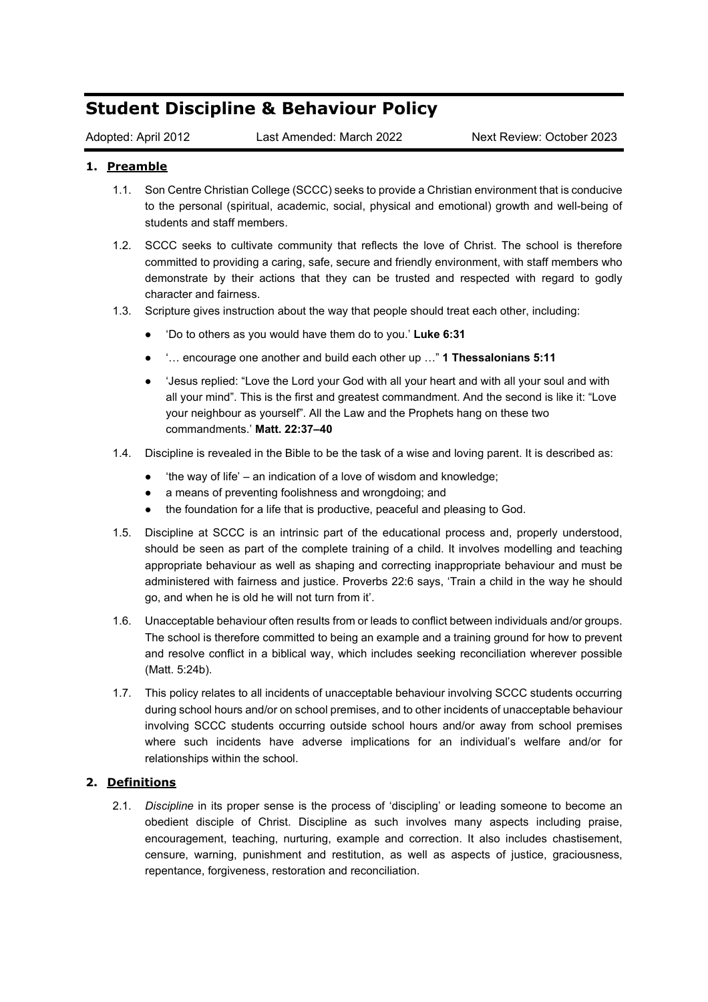# **Student Discipline & Behaviour Policy**

Adopted: April 2012 Last Amended: March 2022 Next Review: October 2023

## **1. Preamble**

- 1.1. Son Centre Christian College (SCCC) seeks to provide a Christian environment that is conducive to the personal (spiritual, academic, social, physical and emotional) growth and well-being of students and staff members.
- 1.2. SCCC seeks to cultivate community that reflects the love of Christ. The school is therefore committed to providing a caring, safe, secure and friendly environment, with staff members who demonstrate by their actions that they can be trusted and respected with regard to godly character and fairness.
- 1.3. Scripture gives instruction about the way that people should treat each other, including:
	- 'Do to others as you would have them do to you.' **Luke 6:31**
	- '… encourage one another and build each other up …" **1 Thessalonians 5:11**
	- Sesus replied: "Love the Lord your God with all your heart and with all your soul and with all your mind". This is the first and greatest commandment. And the second is like it: "Love your neighbour as yourself". All the Law and the Prophets hang on these two commandments.' **Matt. 22:37–40**
- 1.4. Discipline is revealed in the Bible to be the task of a wise and loving parent. It is described as:
	- $\bullet$  'the way of life' an indication of a love of wisdom and knowledge;
	- a means of preventing foolishness and wrongdoing; and
	- the foundation for a life that is productive, peaceful and pleasing to God.
- 1.5. Discipline at SCCC is an intrinsic part of the educational process and, properly understood, should be seen as part of the complete training of a child. It involves modelling and teaching appropriate behaviour as well as shaping and correcting inappropriate behaviour and must be administered with fairness and justice. Proverbs 22:6 says, 'Train a child in the way he should go, and when he is old he will not turn from it'.
- 1.6. Unacceptable behaviour often results from or leads to conflict between individuals and/or groups. The school is therefore committed to being an example and a training ground for how to prevent and resolve conflict in a biblical way, which includes seeking reconciliation wherever possible (Matt. 5:24b).
- 1.7. This policy relates to all incidents of unacceptable behaviour involving SCCC students occurring during school hours and/or on school premises, and to other incidents of unacceptable behaviour involving SCCC students occurring outside school hours and/or away from school premises where such incidents have adverse implications for an individual's welfare and/or for relationships within the school.

### **2. Definitions**

2.1. *Discipline* in its proper sense is the process of 'discipling' or leading someone to become an obedient disciple of Christ. Discipline as such involves many aspects including praise, encouragement, teaching, nurturing, example and correction. It also includes chastisement, censure, warning, punishment and restitution, as well as aspects of justice, graciousness, repentance, forgiveness, restoration and reconciliation.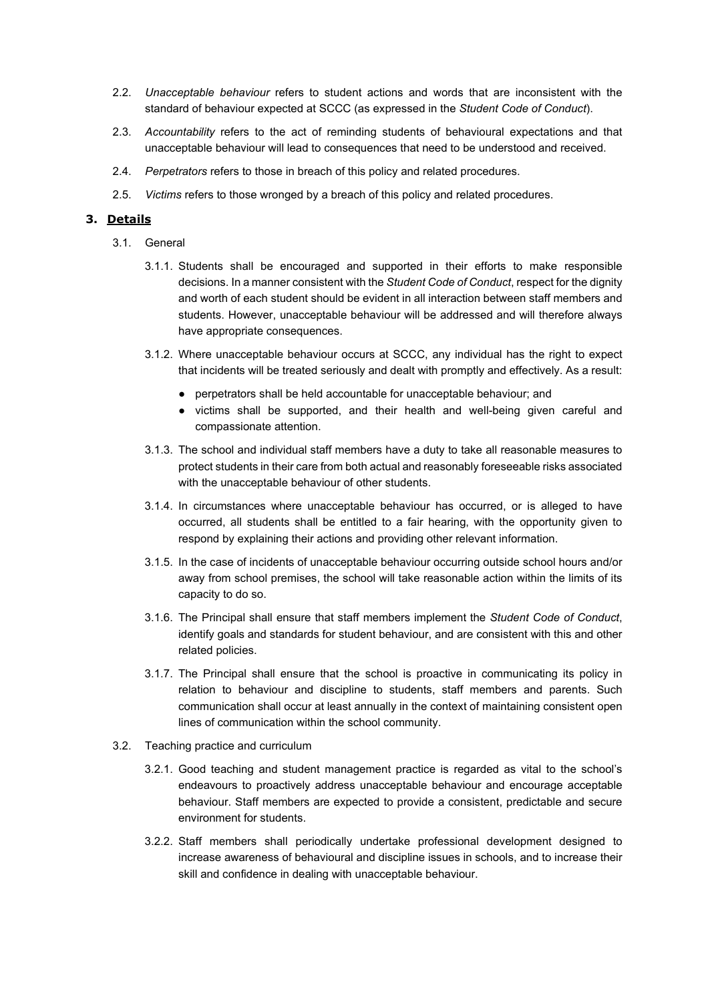- 2.2. *Unacceptable behaviour* refers to student actions and words that are inconsistent with the standard of behaviour expected at SCCC (as expressed in the *Student Code of Conduct*).
- 2.3. *Accountability* refers to the act of reminding students of behavioural expectations and that unacceptable behaviour will lead to consequences that need to be understood and received.
- 2.4. *Perpetrators* refers to those in breach of this policy and related procedures.
- 2.5. *Victims* refers to those wronged by a breach of this policy and related procedures.

#### **3. Details**

- 3.1. General
	- 3.1.1. Students shall be encouraged and supported in their efforts to make responsible decisions. In a manner consistent with the *Student Code of Conduct*, respect for the dignity and worth of each student should be evident in all interaction between staff members and students. However, unacceptable behaviour will be addressed and will therefore always have appropriate consequences.
	- 3.1.2. Where unacceptable behaviour occurs at SCCC, any individual has the right to expect that incidents will be treated seriously and dealt with promptly and effectively. As a result:
		- perpetrators shall be held accountable for unacceptable behaviour; and
		- victims shall be supported, and their health and well-being given careful and compassionate attention.
	- 3.1.3. The school and individual staff members have a duty to take all reasonable measures to protect students in their care from both actual and reasonably foreseeable risks associated with the unacceptable behaviour of other students.
	- 3.1.4. In circumstances where unacceptable behaviour has occurred, or is alleged to have occurred, all students shall be entitled to a fair hearing, with the opportunity given to respond by explaining their actions and providing other relevant information.
	- 3.1.5. In the case of incidents of unacceptable behaviour occurring outside school hours and/or away from school premises, the school will take reasonable action within the limits of its capacity to do so.
	- 3.1.6. The Principal shall ensure that staff members implement the *Student Code of Conduct*, identify goals and standards for student behaviour, and are consistent with this and other related policies.
	- 3.1.7. The Principal shall ensure that the school is proactive in communicating its policy in relation to behaviour and discipline to students, staff members and parents. Such communication shall occur at least annually in the context of maintaining consistent open lines of communication within the school community.
- 3.2. Teaching practice and curriculum
	- 3.2.1. Good teaching and student management practice is regarded as vital to the school's endeavours to proactively address unacceptable behaviour and encourage acceptable behaviour. Staff members are expected to provide a consistent, predictable and secure environment for students.
	- 3.2.2. Staff members shall periodically undertake professional development designed to increase awareness of behavioural and discipline issues in schools, and to increase their skill and confidence in dealing with unacceptable behaviour.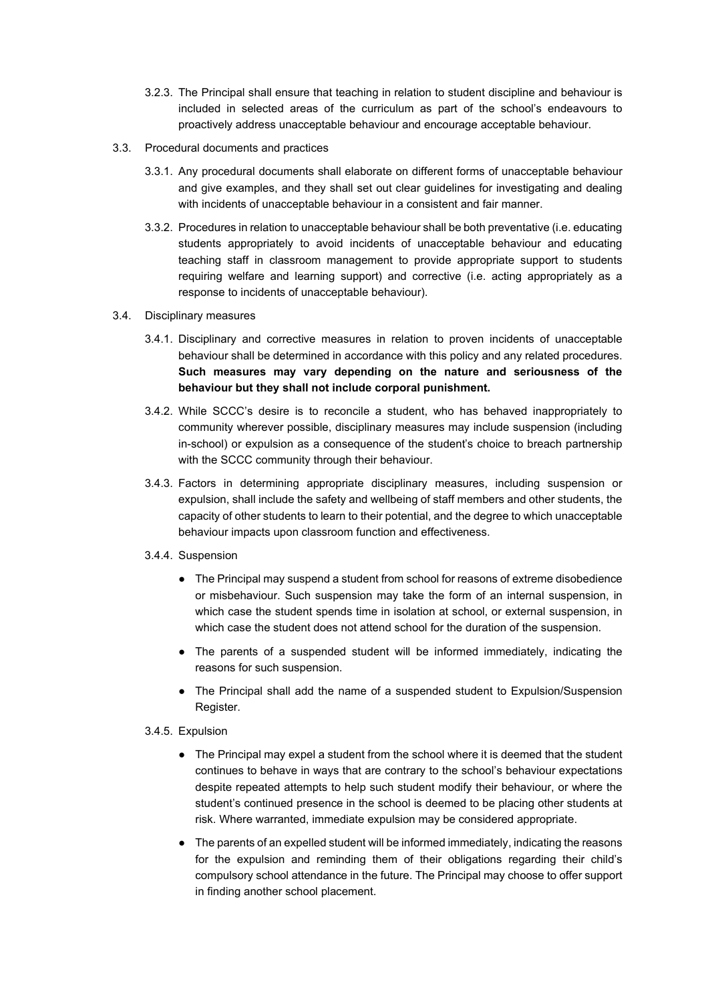- 3.2.3. The Principal shall ensure that teaching in relation to student discipline and behaviour is included in selected areas of the curriculum as part of the school's endeavours to proactively address unacceptable behaviour and encourage acceptable behaviour.
- 3.3. Procedural documents and practices
	- 3.3.1. Any procedural documents shall elaborate on different forms of unacceptable behaviour and give examples, and they shall set out clear guidelines for investigating and dealing with incidents of unacceptable behaviour in a consistent and fair manner.
	- 3.3.2. Procedures in relation to unacceptable behaviour shall be both preventative (i.e. educating students appropriately to avoid incidents of unacceptable behaviour and educating teaching staff in classroom management to provide appropriate support to students requiring welfare and learning support) and corrective (i.e. acting appropriately as a response to incidents of unacceptable behaviour).
- 3.4. Disciplinary measures
	- 3.4.1. Disciplinary and corrective measures in relation to proven incidents of unacceptable behaviour shall be determined in accordance with this policy and any related procedures. **Such measures may vary depending on the nature and seriousness of the behaviour but they shall not include corporal punishment.**
	- 3.4.2. While SCCC's desire is to reconcile a student, who has behaved inappropriately to community wherever possible, disciplinary measures may include suspension (including in-school) or expulsion as a consequence of the student's choice to breach partnership with the SCCC community through their behaviour.
	- 3.4.3. Factors in determining appropriate disciplinary measures, including suspension or expulsion, shall include the safety and wellbeing of staff members and other students, the capacity of other students to learn to their potential, and the degree to which unacceptable behaviour impacts upon classroom function and effectiveness.
	- 3.4.4. Suspension
		- The Principal may suspend a student from school for reasons of extreme disobedience or misbehaviour. Such suspension may take the form of an internal suspension, in which case the student spends time in isolation at school, or external suspension, in which case the student does not attend school for the duration of the suspension.
		- The parents of a suspended student will be informed immediately, indicating the reasons for such suspension.
		- The Principal shall add the name of a suspended student to Expulsion/Suspension Register.

### 3.4.5. Expulsion

- The Principal may expel a student from the school where it is deemed that the student continues to behave in ways that are contrary to the school's behaviour expectations despite repeated attempts to help such student modify their behaviour, or where the student's continued presence in the school is deemed to be placing other students at risk. Where warranted, immediate expulsion may be considered appropriate.
- The parents of an expelled student will be informed immediately, indicating the reasons for the expulsion and reminding them of their obligations regarding their child's compulsory school attendance in the future. The Principal may choose to offer support in finding another school placement.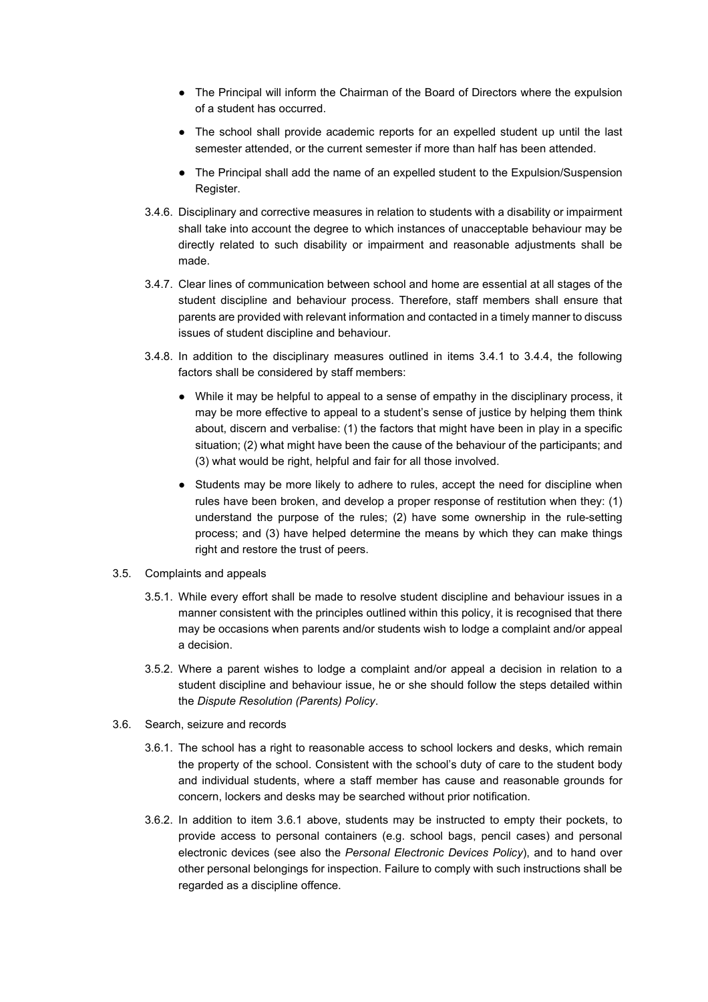- The Principal will inform the Chairman of the Board of Directors where the expulsion of a student has occurred.
- The school shall provide academic reports for an expelled student up until the last semester attended, or the current semester if more than half has been attended.
- The Principal shall add the name of an expelled student to the Expulsion/Suspension Register.
- 3.4.6. Disciplinary and corrective measures in relation to students with a disability or impairment shall take into account the degree to which instances of unacceptable behaviour may be directly related to such disability or impairment and reasonable adjustments shall be made.
- 3.4.7. Clear lines of communication between school and home are essential at all stages of the student discipline and behaviour process. Therefore, staff members shall ensure that parents are provided with relevant information and contacted in a timely manner to discuss issues of student discipline and behaviour.
- 3.4.8. In addition to the disciplinary measures outlined in items 3.4.1 to 3.4.4, the following factors shall be considered by staff members:
	- While it may be helpful to appeal to a sense of empathy in the disciplinary process, it may be more effective to appeal to a student's sense of justice by helping them think about, discern and verbalise: (1) the factors that might have been in play in a specific situation; (2) what might have been the cause of the behaviour of the participants; and (3) what would be right, helpful and fair for all those involved.
	- Students may be more likely to adhere to rules, accept the need for discipline when rules have been broken, and develop a proper response of restitution when they: (1) understand the purpose of the rules; (2) have some ownership in the rule-setting process; and (3) have helped determine the means by which they can make things right and restore the trust of peers.
- 3.5. Complaints and appeals
	- 3.5.1. While every effort shall be made to resolve student discipline and behaviour issues in a manner consistent with the principles outlined within this policy, it is recognised that there may be occasions when parents and/or students wish to lodge a complaint and/or appeal a decision.
	- 3.5.2. Where a parent wishes to lodge a complaint and/or appeal a decision in relation to a student discipline and behaviour issue, he or she should follow the steps detailed within the *Dispute Resolution (Parents) Policy*.
- 3.6. Search, seizure and records
	- 3.6.1. The school has a right to reasonable access to school lockers and desks, which remain the property of the school. Consistent with the school's duty of care to the student body and individual students, where a staff member has cause and reasonable grounds for concern, lockers and desks may be searched without prior notification.
	- 3.6.2. In addition to item 3.6.1 above, students may be instructed to empty their pockets, to provide access to personal containers (e.g. school bags, pencil cases) and personal electronic devices (see also the *Personal Electronic Devices Policy*), and to hand over other personal belongings for inspection. Failure to comply with such instructions shall be regarded as a discipline offence.